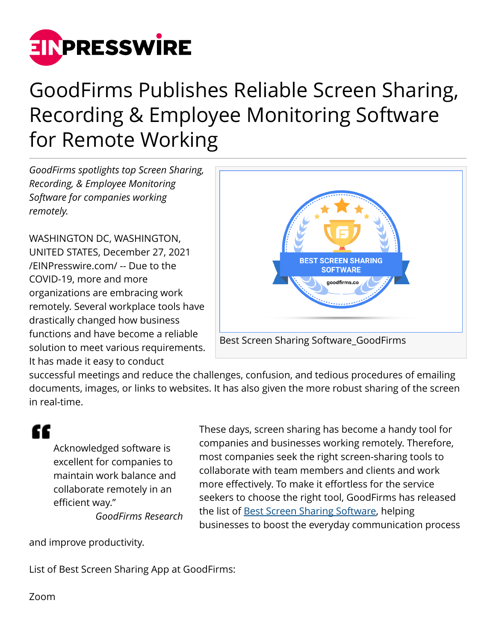

## GoodFirms Publishes Reliable Screen Sharing, Recording & Employee Monitoring Software for Remote Working

*GoodFirms spotlights top Screen Sharing, Recording, & Employee Monitoring Software for companies working remotely.*

WASHINGTON DC, WASHINGTON, UNITED STATES, December 27, 2021 [/EINPresswire.com/](http://www.einpresswire.com) -- Due to the COVID-19, more and more organizations are embracing work remotely. Several workplace tools have drastically changed how business functions and have become a reliable solution to meet various requirements. It has made it easy to conduct



successful meetings and reduce the challenges, confusion, and tedious procedures of emailing documents, images, or links to websites. It has also given the more robust sharing of the screen in real-time.

## "

Acknowledged software is excellent for companies to maintain work balance and collaborate remotely in an efficient way."

*GoodFirms Research*

These days, screen sharing has become a handy tool for companies and businesses working remotely. Therefore, most companies seek the right screen-sharing tools to collaborate with team members and clients and work more effectively. To make it effortless for the service seekers to choose the right tool, GoodFirms has released the list of [Best Screen Sharing Software](https://www.goodfirms.co/screen-sharing-software/), helping businesses to boost the everyday communication process

and improve productivity.

List of Best Screen Sharing App at GoodFirms:

Zoom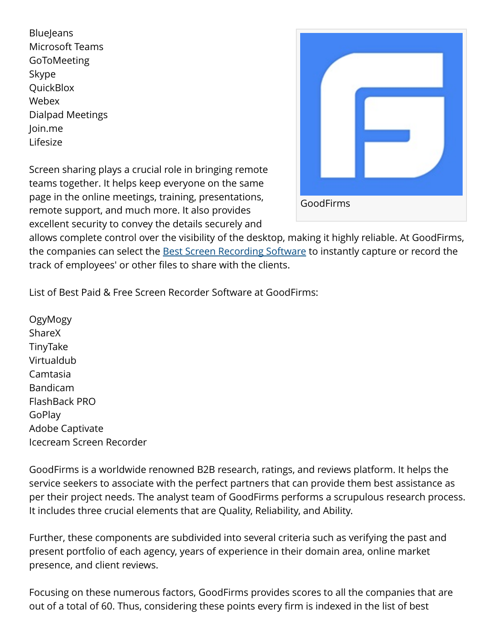**BlueJeans** Microsoft Teams **GoToMeeting** Skype **QuickBlox** Webex Dialpad Meetings Join.me Lifesize

Screen sharing plays a crucial role in bringing remote teams together. It helps keep everyone on the same page in the online meetings, training, presentations, remote support, and much more. It also provides excellent security to convey the details securely and



allows complete control over the visibility of the desktop, making it highly reliable. At GoodFirms, the companies can select the **Best Screen Recording Software** to instantly capture or record the track of employees' or other files to share with the clients.

List of Best Paid & Free Screen Recorder Software at GoodFirms:

OgyMogy ShareX TinyTake Virtualdub Camtasia Bandicam FlashBack PRO GoPlay Adobe Captivate Icecream Screen Recorder

GoodFirms is a worldwide renowned B2B research, ratings, and reviews platform. It helps the service seekers to associate with the perfect partners that can provide them best assistance as per their project needs. The analyst team of GoodFirms performs a scrupulous research process. It includes three crucial elements that are Quality, Reliability, and Ability.

Further, these components are subdivided into several criteria such as verifying the past and present portfolio of each agency, years of experience in their domain area, online market presence, and client reviews.

Focusing on these numerous factors, GoodFirms provides scores to all the companies that are out of a total of 60. Thus, considering these points every firm is indexed in the list of best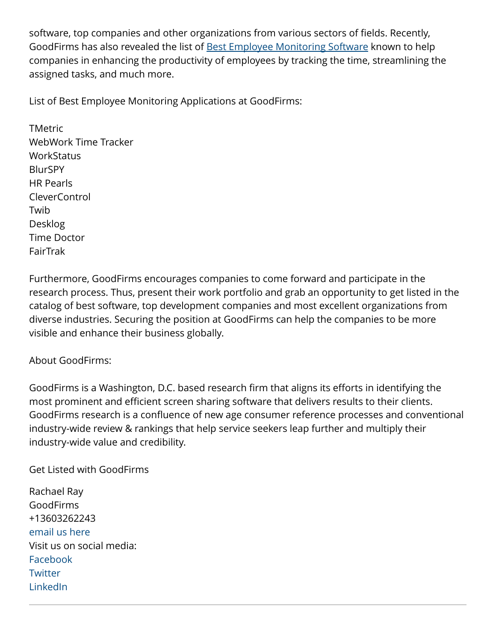software, top companies and other organizations from various sectors of fields. Recently, GoodFirms has also revealed the list of [Best Employee Monitoring Software](https://www.goodfirms.co/employee-monitoring-software/) known to help companies in enhancing the productivity of employees by tracking the time, streamlining the assigned tasks, and much more.

List of Best Employee Monitoring Applications at GoodFirms:

TMetric WebWork Time Tracker **WorkStatus** BlurSPY HR Pearls CleverControl Twib Desklog Time Doctor FairTrak

Furthermore, GoodFirms encourages companies to come forward and participate in the research process. Thus, present their work portfolio and grab an opportunity to get listed in the catalog of best software, top development companies and most excellent organizations from diverse industries. Securing the position at GoodFirms can help the companies to be more visible and enhance their business globally.

## About GoodFirms:

GoodFirms is a Washington, D.C. based research firm that aligns its efforts in identifying the most prominent and efficient screen sharing software that delivers results to their clients. GoodFirms research is a confluence of new age consumer reference processes and conventional industry-wide review & rankings that help service seekers leap further and multiply their industry-wide value and credibility.

Get Listed with GoodFirms

Rachael Ray GoodFirms +13603262243 [email us here](http://www.einpresswire.com/contact_author/3225355) Visit us on social media: [Facebook](https://www.facebook.com/goodfirms/) **[Twitter](https://twitter.com/GoodFirms)** [LinkedIn](https://www.linkedin.com/in/goodfirms/)